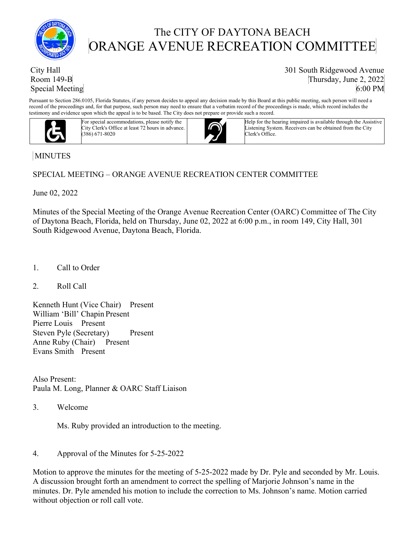

# The CITY OF DAYTONA BEACH ORANGE AVENUE RECREATION COMMITTEE

## City Hall Room 149-B Special Meeting

301 South Ridgewood Avenue Thursday, June 2, 2022 6:00 PM

Pursuant to Section 286.0105, Florida Statutes, if any person decides to appeal any decision made by this Board at this public meeting, such person will need a record of the proceedings and, for that purpose, such person may need to ensure that a verbatim record of the proceedings is made, which record includes the testimony and evidence upon which the appeal is to be based. The City does not prepare or provide such a record.



For special accommodations, please notify the City Clerk's Office at least 72 hours in advance. (386) 671-8020



Help for the hearing impaired is available through the Assistive Listening System. Receivers can be obtained from the City Clerk's Office.

## MINUTES

## SPECIAL MEETING – ORANGE AVENUE RECREATION CENTER COMMITTEE

June 02, 2022

Minutes of the Special Meeting of the Orange Avenue Recreation Center (OARC) Committee of The City of Daytona Beach, Florida, held on Thursday, June 02, 2022 at 6:00 p.m., in room 149, City Hall, 301 South Ridgewood Avenue, Daytona Beach, Florida.

- 1. Call to Order
- 2. Roll Call

Kenneth Hunt (Vice Chair) Present William 'Bill' Chapin Present Pierre Louis Present Steven Pyle (Secretary) Present Anne Ruby (Chair) Present Evans Smith Present

Also Present: Paula M. Long, Planner & OARC Staff Liaison

3. Welcome

Ms. Ruby provided an introduction to the meeting.

4. Approval of the Minutes for 5-25-2022

Motion to approve the minutes for the meeting of 5-25-2022 made by Dr. Pyle and seconded by Mr. Louis. A discussion brought forth an amendment to correct the spelling of Marjorie Johnson's name in the minutes. Dr. Pyle amended his motion to include the correction to Ms. Johnson's name. Motion carried without objection or roll call vote.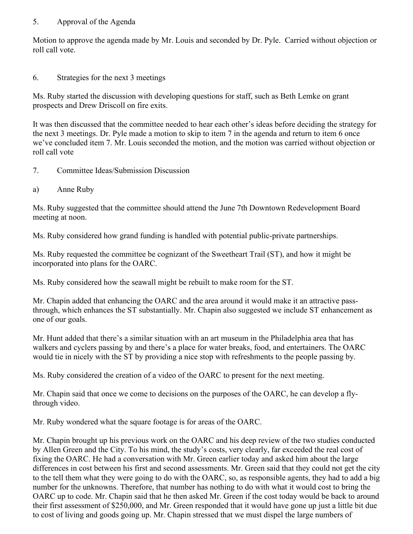#### 5. Approval of the Agenda

Motion to approve the agenda made by Mr. Louis and seconded by Dr. Pyle. Carried without objection or roll call vote.

## 6. Strategies for the next 3 meetings

Ms. Ruby started the discussion with developing questions for staff, such as Beth Lemke on grant prospects and Drew Driscoll on fire exits.

It was then discussed that the committee needed to hear each other's ideas before deciding the strategy for the next 3 meetings. Dr. Pyle made a motion to skip to item 7 in the agenda and return to item 6 once we've concluded item 7. Mr. Louis seconded the motion, and the motion was carried without objection or roll call vote

- 7. Committee Ideas/Submission Discussion
- a) Anne Ruby

Ms. Ruby suggested that the committee should attend the June 7th Downtown Redevelopment Board meeting at noon.

Ms. Ruby considered how grand funding is handled with potential public-private partnerships.

Ms. Ruby requested the committee be cognizant of the Sweetheart Trail (ST), and how it might be incorporated into plans for the OARC.

Ms. Ruby considered how the seawall might be rebuilt to make room for the ST.

Mr. Chapin added that enhancing the OARC and the area around it would make it an attractive passthrough, which enhances the ST substantially. Mr. Chapin also suggested we include ST enhancement as one of our goals.

Mr. Hunt added that there's a similar situation with an art museum in the Philadelphia area that has walkers and cyclers passing by and there's a place for water breaks, food, and entertainers. The OARC would tie in nicely with the ST by providing a nice stop with refreshments to the people passing by.

Ms. Ruby considered the creation of a video of the OARC to present for the next meeting.

Mr. Chapin said that once we come to decisions on the purposes of the OARC, he can develop a flythrough video.

Mr. Ruby wondered what the square footage is for areas of the OARC.

Mr. Chapin brought up his previous work on the OARC and his deep review of the two studies conducted by Allen Green and the City. To his mind, the study's costs, very clearly, far exceeded the real cost of fixing the OARC. He had a conversation with Mr. Green earlier today and asked him about the large differences in cost between his first and second assessments. Mr. Green said that they could not get the city to the tell them what they were going to do with the OARC, so, as responsible agents, they had to add a big number for the unknowns. Therefore, that number has nothing to do with what it would cost to bring the OARC up to code. Mr. Chapin said that he then asked Mr. Green if the cost today would be back to around their first assessment of \$250,000, and Mr. Green responded that it would have gone up just a little bit due to cost of living and goods going up. Mr. Chapin stressed that we must dispel the large numbers of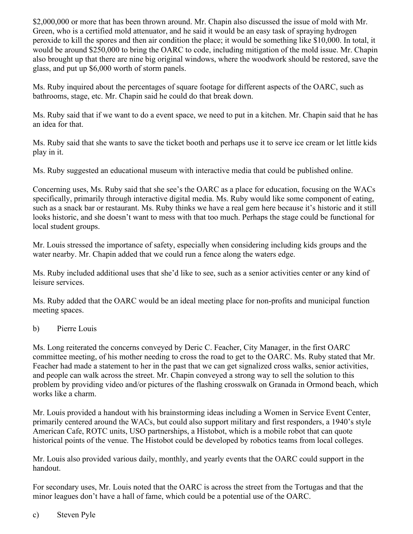\$2,000,000 or more that has been thrown around. Mr. Chapin also discussed the issue of mold with Mr. Green, who is a certified mold attenuator, and he said it would be an easy task of spraying hydrogen peroxide to kill the spores and then air condition the place; it would be something like \$10,000. In total, it would be around \$250,000 to bring the OARC to code, including mitigation of the mold issue. Mr. Chapin also brought up that there are nine big original windows, where the woodwork should be restored, save the glass, and put up \$6,000 worth of storm panels.

Ms. Ruby inquired about the percentages of square footage for different aspects of the OARC, such as bathrooms, stage, etc. Mr. Chapin said he could do that break down.

Ms. Ruby said that if we want to do a event space, we need to put in a kitchen. Mr. Chapin said that he has an idea for that.

Ms. Ruby said that she wants to save the ticket booth and perhaps use it to serve ice cream or let little kids play in it.

Ms. Ruby suggested an educational museum with interactive media that could be published online.

Concerning uses, Ms. Ruby said that she see's the OARC as a place for education, focusing on the WACs specifically, primarily through interactive digital media. Ms. Ruby would like some component of eating, such as a snack bar or restaurant. Ms. Ruby thinks we have a real gem here because it's historic and it still looks historic, and she doesn't want to mess with that too much. Perhaps the stage could be functional for local student groups.

Mr. Louis stressed the importance of safety, especially when considering including kids groups and the water nearby. Mr. Chapin added that we could run a fence along the waters edge.

Ms. Ruby included additional uses that she'd like to see, such as a senior activities center or any kind of leisure services.

Ms. Ruby added that the OARC would be an ideal meeting place for non-profits and municipal function meeting spaces.

b) Pierre Louis

Ms. Long reiterated the concerns conveyed by Deric C. Feacher, City Manager, in the first OARC committee meeting, of his mother needing to cross the road to get to the OARC. Ms. Ruby stated that Mr. Feacher had made a statement to her in the past that we can get signalized cross walks, senior activities, and people can walk across the street. Mr. Chapin conveyed a strong way to sell the solution to this problem by providing video and/or pictures of the flashing crosswalk on Granada in Ormond beach, which works like a charm.

Mr. Louis provided a handout with his brainstorming ideas including a Women in Service Event Center, primarily centered around the WACs, but could also support military and first responders, a 1940's style American Cafe, ROTC units, USO partnerships, a Histobot, which is a mobile robot that can quote historical points of the venue. The Histobot could be developed by robotics teams from local colleges.

Mr. Louis also provided various daily, monthly, and yearly events that the OARC could support in the handout.

For secondary uses, Mr. Louis noted that the OARC is across the street from the Tortugas and that the minor leagues don't have a hall of fame, which could be a potential use of the OARC.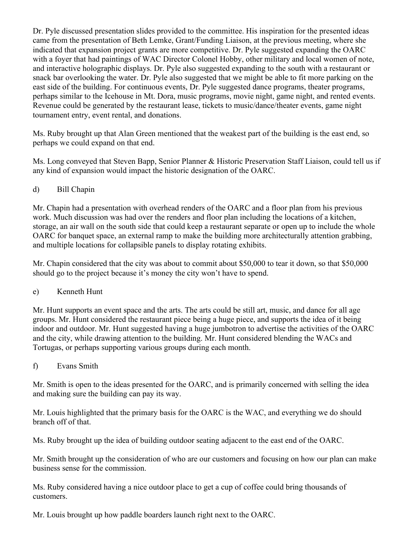Dr. Pyle discussed presentation slides provided to the committee. His inspiration for the presented ideas came from the presentation of Beth Lemke, Grant/Funding Liaison, at the previous meeting, where she indicated that expansion project grants are more competitive. Dr. Pyle suggested expanding the OARC with a foyer that had paintings of WAC Director Colonel Hobby, other military and local women of note, and interactive holographic displays. Dr. Pyle also suggested expanding to the south with a restaurant or snack bar overlooking the water. Dr. Pyle also suggested that we might be able to fit more parking on the east side of the building. For continuous events, Dr. Pyle suggested dance programs, theater programs, perhaps similar to the Icehouse in Mt. Dora, music programs, movie night, game night, and rented events. Revenue could be generated by the restaurant lease, tickets to music/dance/theater events, game night tournament entry, event rental, and donations.

Ms. Ruby brought up that Alan Green mentioned that the weakest part of the building is the east end, so perhaps we could expand on that end.

Ms. Long conveyed that Steven Bapp, Senior Planner & Historic Preservation Staff Liaison, could tell us if any kind of expansion would impact the historic designation of the OARC.

d) Bill Chapin

Mr. Chapin had a presentation with overhead renders of the OARC and a floor plan from his previous work. Much discussion was had over the renders and floor plan including the locations of a kitchen, storage, an air wall on the south side that could keep a restaurant separate or open up to include the whole OARC for banquet space, an external ramp to make the building more architecturally attention grabbing, and multiple locations for collapsible panels to display rotating exhibits.

Mr. Chapin considered that the city was about to commit about \$50,000 to tear it down, so that \$50,000 should go to the project because it's money the city won't have to spend.

e) Kenneth Hunt

Mr. Hunt supports an event space and the arts. The arts could be still art, music, and dance for all age groups. Mr. Hunt considered the restaurant piece being a huge piece, and supports the idea of it being indoor and outdoor. Mr. Hunt suggested having a huge jumbotron to advertise the activities of the OARC and the city, while drawing attention to the building. Mr. Hunt considered blending the WACs and Tortugas, or perhaps supporting various groups during each month.

f) Evans Smith

Mr. Smith is open to the ideas presented for the OARC, and is primarily concerned with selling the idea and making sure the building can pay its way.

Mr. Louis highlighted that the primary basis for the OARC is the WAC, and everything we do should branch off of that.

Ms. Ruby brought up the idea of building outdoor seating adjacent to the east end of the OARC.

Mr. Smith brought up the consideration of who are our customers and focusing on how our plan can make business sense for the commission.

Ms. Ruby considered having a nice outdoor place to get a cup of coffee could bring thousands of customers.

Mr. Louis brought up how paddle boarders launch right next to the OARC.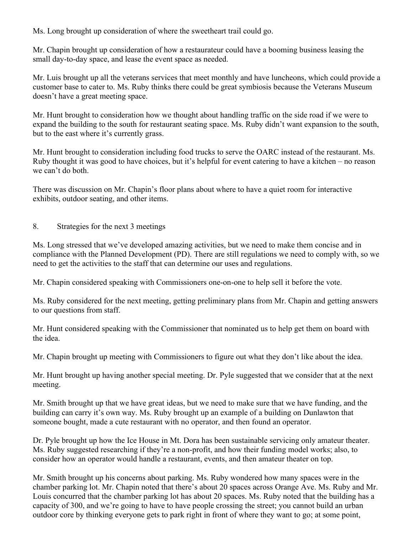Ms. Long brought up consideration of where the sweetheart trail could go.

Mr. Chapin brought up consideration of how a restaurateur could have a booming business leasing the small day-to-day space, and lease the event space as needed.

Mr. Luis brought up all the veterans services that meet monthly and have luncheons, which could provide a customer base to cater to. Ms. Ruby thinks there could be great symbiosis because the Veterans Museum doesn't have a great meeting space.

Mr. Hunt brought to consideration how we thought about handling traffic on the side road if we were to expand the building to the south for restaurant seating space. Ms. Ruby didn't want expansion to the south, but to the east where it's currently grass.

Mr. Hunt brought to consideration including food trucks to serve the OARC instead of the restaurant. Ms. Ruby thought it was good to have choices, but it's helpful for event catering to have a kitchen – no reason we can't do both.

There was discussion on Mr. Chapin's floor plans about where to have a quiet room for interactive exhibits, outdoor seating, and other items.

## 8. Strategies for the next 3 meetings

Ms. Long stressed that we've developed amazing activities, but we need to make them concise and in compliance with the Planned Development (PD). There are still regulations we need to comply with, so we need to get the activities to the staff that can determine our uses and regulations.

Mr. Chapin considered speaking with Commissioners one-on-one to help sell it before the vote.

Ms. Ruby considered for the next meeting, getting preliminary plans from Mr. Chapin and getting answers to our questions from staff.

Mr. Hunt considered speaking with the Commissioner that nominated us to help get them on board with the idea.

Mr. Chapin brought up meeting with Commissioners to figure out what they don't like about the idea.

Mr. Hunt brought up having another special meeting. Dr. Pyle suggested that we consider that at the next meeting.

Mr. Smith brought up that we have great ideas, but we need to make sure that we have funding, and the building can carry it's own way. Ms. Ruby brought up an example of a building on Dunlawton that someone bought, made a cute restaurant with no operator, and then found an operator.

Dr. Pyle brought up how the Ice House in Mt. Dora has been sustainable servicing only amateur theater. Ms. Ruby suggested researching if they're a non-profit, and how their funding model works; also, to consider how an operator would handle a restaurant, events, and then amateur theater on top.

Mr. Smith brought up his concerns about parking. Ms. Ruby wondered how many spaces were in the chamber parking lot. Mr. Chapin noted that there's about 20 spaces across Orange Ave. Ms. Ruby and Mr. Louis concurred that the chamber parking lot has about 20 spaces. Ms. Ruby noted that the building has a capacity of 300, and we're going to have to have people crossing the street; you cannot build an urban outdoor core by thinking everyone gets to park right in front of where they want to go; at some point,